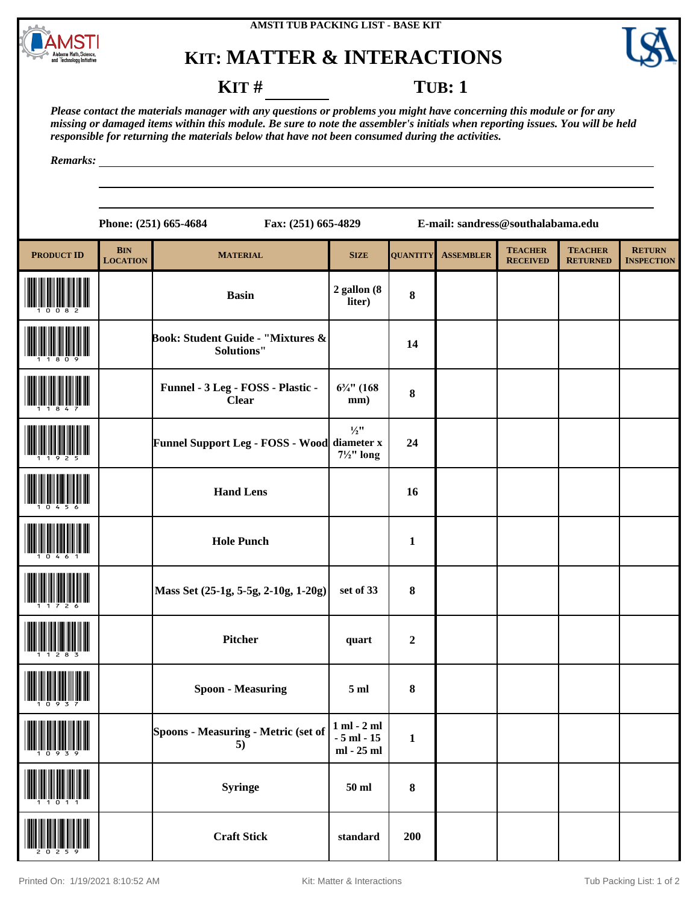



### **KIT** # **TUB**: 1

*Please contact the materials manager with any questions or problems you might have concerning this module or for any missing or damaged items within this module. Be sure to note the assembler's initials when reporting issues. You will be held responsible for returning the materials below that have not been consumed during the activities.*

*Remarks:*

**Phone: (251) 665-4684 Fax: (251) 665-4829 E-mail: sandress@southalabama.edu**

| <b>PRODUCT ID</b> | <b>BIN</b><br><b>LOCATION</b> | <b>MATERIAL</b>                                   | <b>SIZE</b>                                    | <b>QUANTITY</b>  | <b>ASSEMBLER</b> | <b>TEACHER</b><br><b>RECEIVED</b> | <b>TEACHER</b><br><b>RETURNED</b> | <b>RETURN</b><br><b>INSPECTION</b> |
|-------------------|-------------------------------|---------------------------------------------------|------------------------------------------------|------------------|------------------|-----------------------------------|-----------------------------------|------------------------------------|
|                   |                               | <b>Basin</b>                                      | 2 gallon (8<br>liter)                          | $\bf 8$          |                  |                                   |                                   |                                    |
|                   |                               | Book: Student Guide - "Mixtures &<br>Solutions"   |                                                | 14               |                  |                                   |                                   |                                    |
|                   |                               | Funnel - 3 Leg - FOSS - Plastic -<br><b>Clear</b> | $6\frac{3}{4}$ " (168<br>mm)                   | $\bf 8$          |                  |                                   |                                   |                                    |
|                   |                               | Funnel Support Leg - FOSS - Wood diameter x       | $\frac{1}{2}$ "<br>$7\frac{1}{2}$ " long       | 24               |                  |                                   |                                   |                                    |
|                   |                               | <b>Hand Lens</b>                                  |                                                | 16               |                  |                                   |                                   |                                    |
|                   |                               | <b>Hole Punch</b>                                 |                                                | $\mathbf{1}$     |                  |                                   |                                   |                                    |
|                   |                               | Mass Set (25-1g, 5-5g, 2-10g, 1-20g)              | set of 33                                      | $\pmb{8}$        |                  |                                   |                                   |                                    |
|                   |                               | <b>Pitcher</b>                                    | quart                                          | $\boldsymbol{2}$ |                  |                                   |                                   |                                    |
|                   |                               | <b>Spoon - Measuring</b>                          | 5 <sub>ml</sub>                                | $\pmb{8}$        |                  |                                   |                                   |                                    |
| IIII<br>10939     |                               | Spoons - Measuring - Metric (set of<br>5)         | $1$ ml $-$ 2 ml<br>$-5$ ml $-15$<br>ml - 25 ml | $\mathbf{1}$     |                  |                                   |                                   |                                    |
|                   |                               | <b>Syringe</b>                                    | $50$ ml                                        | $\bf 8$          |                  |                                   |                                   |                                    |
|                   |                               | <b>Craft Stick</b>                                | standard                                       | 200              |                  |                                   |                                   |                                    |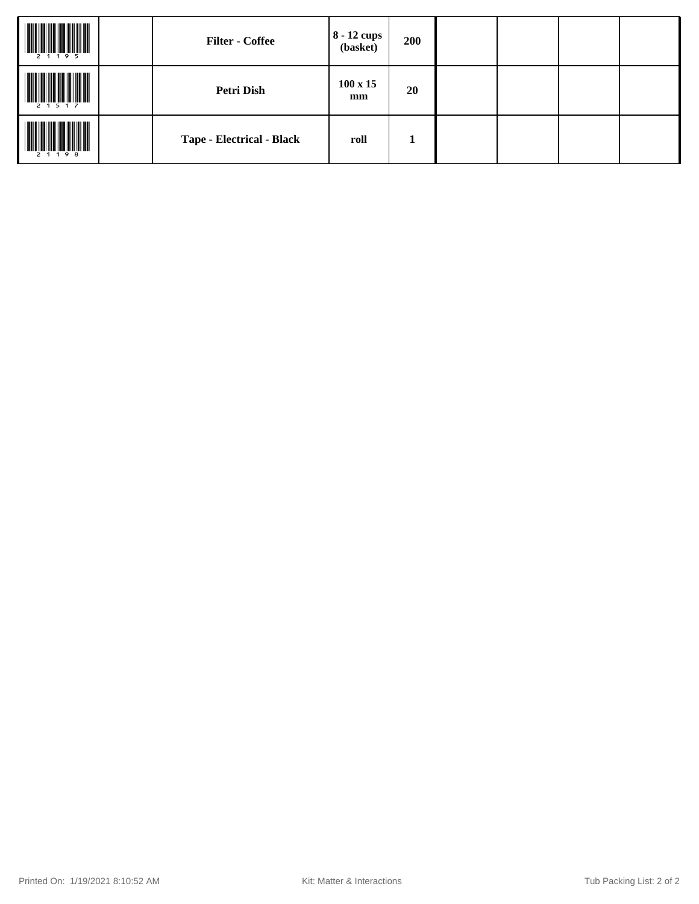| 2 1 1 9 5 | <b>Filter - Coffee</b>    | $ 8 - 12$ cups $ $<br>(basket) | 200 |  |  |
|-----------|---------------------------|--------------------------------|-----|--|--|
| 2 1 5 1 7 | <b>Petri Dish</b>         | $100 \times 15$<br>mm          | 20  |  |  |
| 2 1 1 9 8 | Tape - Electrical - Black | roll                           | 1   |  |  |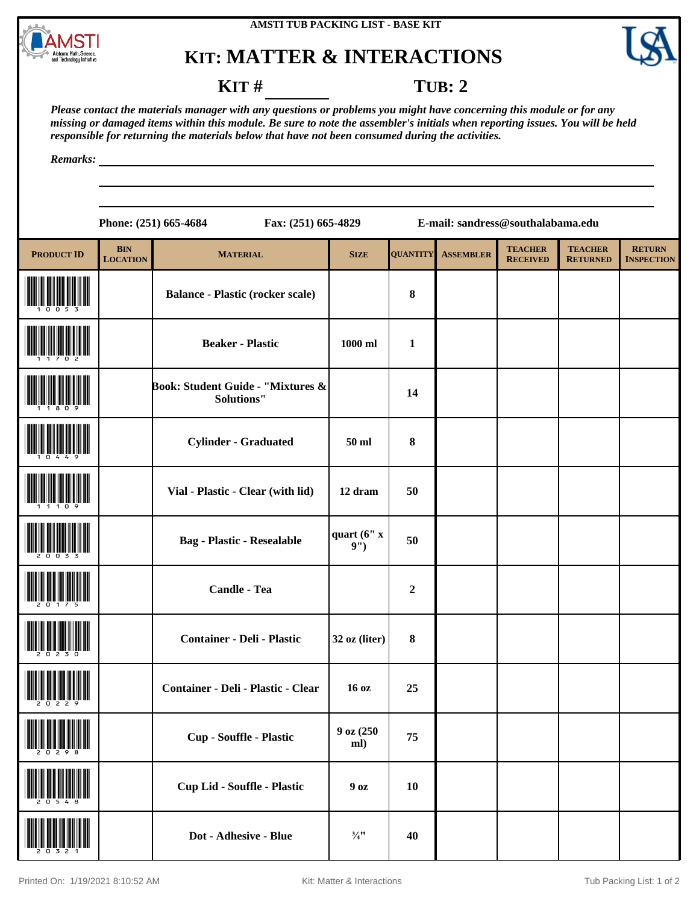



#### **KIT** # **TUB: 2**

*Please contact the materials manager with any questions or problems you might have concerning this module or for any missing or damaged items within this module. Be sure to note the assembler's initials when reporting issues. You will be held responsible for returning the materials below that have not been consumed during the activities.*

*Remarks:*

|                   |                               | Phone: (251) 665-4684<br>Fax: (251) 665-4829           |                    | E-mail: sandress@southalabama.edu |                  |                                   |                                   |                                    |  |
|-------------------|-------------------------------|--------------------------------------------------------|--------------------|-----------------------------------|------------------|-----------------------------------|-----------------------------------|------------------------------------|--|
| <b>PRODUCT ID</b> | <b>BIN</b><br><b>LOCATION</b> | <b>MATERIAL</b>                                        | <b>SIZE</b>        | <b>QUANTITY</b>                   | <b>ASSEMBLER</b> | <b>TEACHER</b><br><b>RECEIVED</b> | <b>TEACHER</b><br><b>RETURNED</b> | <b>RETURN</b><br><b>INSPECTION</b> |  |
|                   |                               | <b>Balance - Plastic (rocker scale)</b>                |                    | 8                                 |                  |                                   |                                   |                                    |  |
|                   |                               | <b>Beaker - Plastic</b>                                | $1000$ ml          | $\mathbf{1}$                      |                  |                                   |                                   |                                    |  |
|                   |                               | Book: Student Guide - "Mixtures &<br><b>Solutions"</b> |                    | 14                                |                  |                                   |                                   |                                    |  |
|                   |                               | <b>Cylinder - Graduated</b>                            | 50 ml              | 8                                 |                  |                                   |                                   |                                    |  |
|                   |                               | Vial - Plastic - Clear (with lid)                      | 12 dram            | 50                                |                  |                                   |                                   |                                    |  |
|                   |                               | <b>Bag - Plastic - Resealable</b>                      | quart (6" x<br>9") | 50                                |                  |                                   |                                   |                                    |  |
|                   |                               | <b>Candle - Tea</b>                                    |                    | $\boldsymbol{2}$                  |                  |                                   |                                   |                                    |  |
|                   |                               | <b>Container - Deli - Plastic</b>                      | 32 oz (liter)      | 8                                 |                  |                                   |                                   |                                    |  |
|                   |                               | Container - Deli - Plastic - Clear                     | 16 oz              | 25                                |                  |                                   |                                   |                                    |  |
|                   |                               | Cup - Souffle - Plastic                                | 9 oz (250)<br>ml)  | 75                                |                  |                                   |                                   |                                    |  |
|                   |                               | <b>Cup Lid - Souffle - Plastic</b>                     | 90z                | 10                                |                  |                                   |                                   |                                    |  |
|                   |                               |                                                        |                    |                                   |                  |                                   |                                   |                                    |  |

(20321) **Dot - Adhesive - Blue ¾" <sup>40</sup>**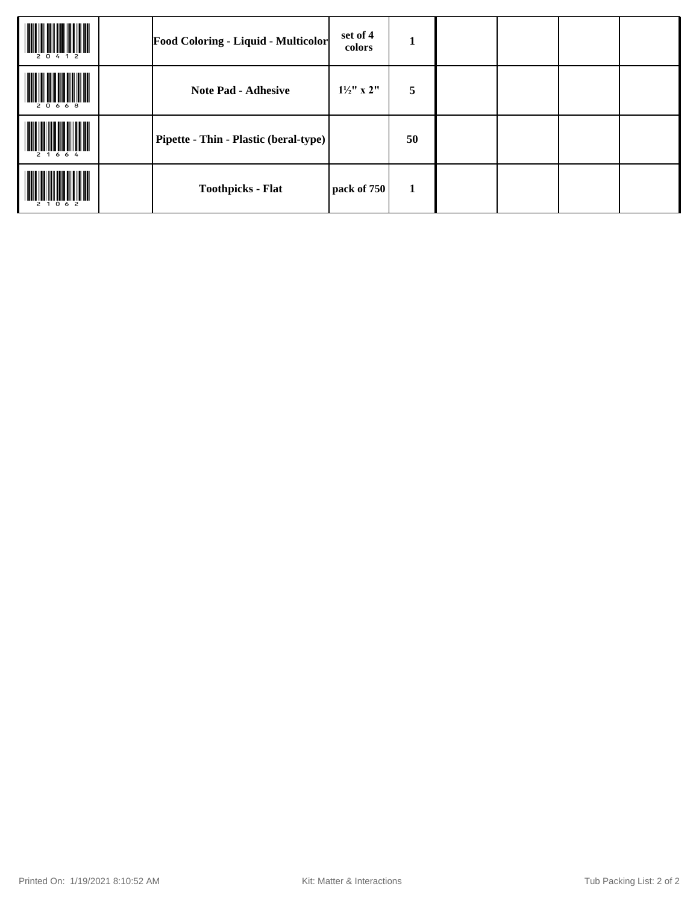| 20412     | <b>Food Coloring - Liquid - Multicolor</b> | set of 4<br>colors    | Т  |  |  |
|-----------|--------------------------------------------|-----------------------|----|--|--|
| 20668     | <b>Note Pad - Adhesive</b>                 | $1\frac{1}{2}$ " x 2" | 5  |  |  |
|           | Pipette - Thin - Plastic (beral-type)      |                       | 50 |  |  |
| 2 1 0 6 2 | <b>Toothpicks - Flat</b>                   | pack of 750           | 1  |  |  |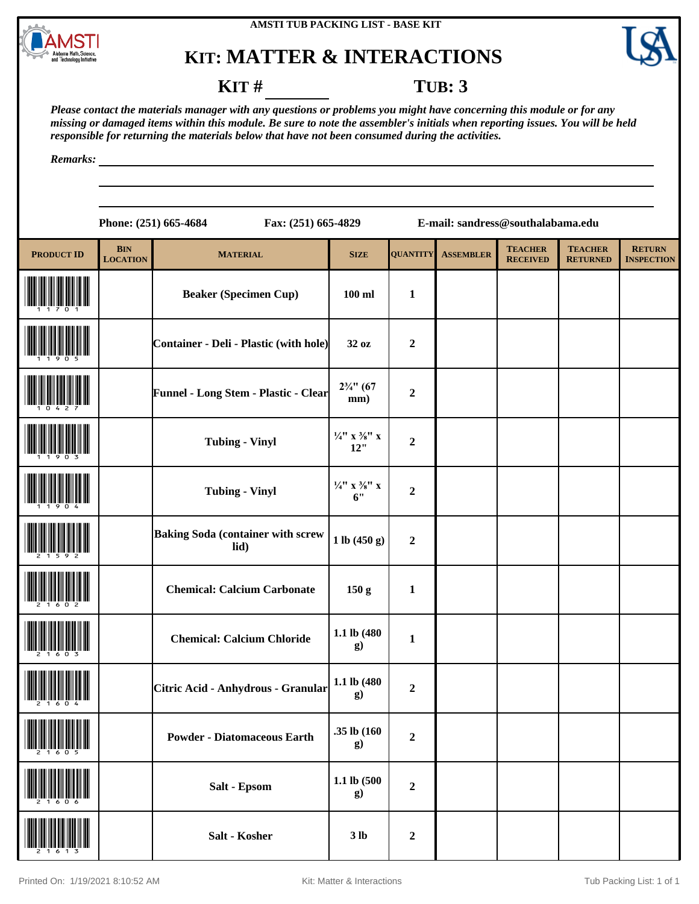



#### **KIT** # **TUB: 3**

*Please contact the materials manager with any questions or problems you might have concerning this module or for any missing or damaged items within this module. Be sure to note the assembler's initials when reporting issues. You will be held responsible for returning the materials below that have not been consumed during the activities.*

*Remarks:*

|                   |                               | Fax: (251) 665-4829<br>Phone: (251) 665-4684     |                                            |                  | E-mail: sandress@southalabama.edu |                                   |                                   |                                    |
|-------------------|-------------------------------|--------------------------------------------------|--------------------------------------------|------------------|-----------------------------------|-----------------------------------|-----------------------------------|------------------------------------|
| <b>PRODUCT ID</b> | <b>BIN</b><br><b>LOCATION</b> | <b>MATERIAL</b>                                  | <b>SIZE</b>                                | <b>QUANTITY</b>  | <b>ASSEMBLER</b>                  | <b>TEACHER</b><br><b>RECEIVED</b> | <b>TEACHER</b><br><b>RETURNED</b> | <b>RETURN</b><br><b>INSPECTION</b> |
|                   |                               | <b>Beaker (Specimen Cup)</b>                     | $100$ ml                                   | $\mathbf{1}$     |                                   |                                   |                                   |                                    |
|                   |                               | <b>Container - Deli - Plastic (with hole)</b>    | 32 oz                                      | $\boldsymbol{2}$ |                                   |                                   |                                   |                                    |
|                   |                               | Funnel - Long Stem - Plastic - Clear             | $2\frac{3}{4}$ " (67<br>mm)                | $\boldsymbol{2}$ |                                   |                                   |                                   |                                    |
|                   |                               | <b>Tubing - Vinyl</b>                            | $\frac{1}{4}$ " x $\frac{3}{8}$ " x<br>12" | $\boldsymbol{2}$ |                                   |                                   |                                   |                                    |
|                   |                               | <b>Tubing - Vinyl</b>                            | $\frac{1}{4}$ " x $\frac{3}{8}$ " x<br>6"  | $\boldsymbol{2}$ |                                   |                                   |                                   |                                    |
|                   |                               | <b>Baking Soda (container with screw</b><br>lid) | 1 lb (450 g)                               | $\boldsymbol{2}$ |                                   |                                   |                                   |                                    |
|                   |                               | <b>Chemical: Calcium Carbonate</b>               | 150 <sub>g</sub>                           | $\mathbf{1}$     |                                   |                                   |                                   |                                    |
|                   |                               | <b>Chemical: Calcium Chloride</b>                | 1.1 lb (480<br>g)                          | $\mathbf{1}$     |                                   |                                   |                                   |                                    |
|                   |                               | Citric Acid - Anhydrous - Granular               | 1.1 lb (480<br>g)                          | $\boldsymbol{2}$ |                                   |                                   |                                   |                                    |
|                   |                               | <b>Powder - Diatomaceous Earth</b>               | .35 lb (160<br>g)                          | $\boldsymbol{2}$ |                                   |                                   |                                   |                                    |
|                   |                               | Salt - Epsom                                     | 1.1 lb (500<br>g)                          | $\boldsymbol{2}$ |                                   |                                   |                                   |                                    |
|                   |                               | Salt - Kosher                                    | 3 <sub>lb</sub>                            | $\boldsymbol{2}$ |                                   |                                   |                                   |                                    |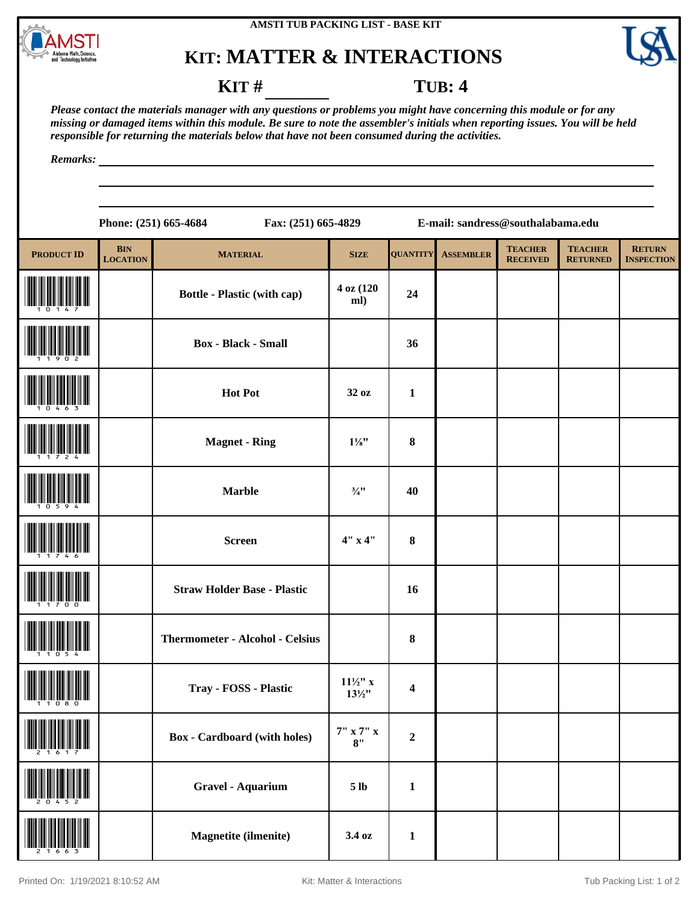



### **KIT** # **TUB: 4**

*Please contact the materials manager with any questions or problems you might have concerning this module or for any missing or damaged items within this module. Be sure to note the assembler's initials when reporting issues. You will be held responsible for returning the materials below that have not been consumed during the activities.*

*Remarks:*

**Phone: (251) 665-4684 Fax: (251) 665-4829 E-mail: sandress@southalabama.edu**

| <b>PRODUCT ID</b> | <b>BIN</b><br><b>LOCATION</b> | <b>MATERIAL</b>                        | <b>SIZE</b>                              | <b>QUANTITY</b>         | <b>ASSEMBLER</b> | <b>TEACHER</b><br><b>RECEIVED</b> | <b>TEACHER</b><br><b>RETURNED</b> | <b>RETURN</b><br><b>INSPECTION</b> |
|-------------------|-------------------------------|----------------------------------------|------------------------------------------|-------------------------|------------------|-----------------------------------|-----------------------------------|------------------------------------|
|                   |                               | <b>Bottle - Plastic (with cap)</b>     | 4 oz (120<br>ml)                         | 24                      |                  |                                   |                                   |                                    |
|                   |                               | <b>Box</b> - Black - Small             |                                          | 36                      |                  |                                   |                                   |                                    |
|                   |                               | <b>Hot Pot</b>                         | 32 oz                                    | $\mathbf{1}$            |                  |                                   |                                   |                                    |
|                   |                               | <b>Magnet - Ring</b>                   | $1\frac{1}{8}$ "                         | $\bf 8$                 |                  |                                   |                                   |                                    |
|                   |                               | <b>Marble</b>                          | $\frac{3}{4}$ <sup>11</sup>              | 40                      |                  |                                   |                                   |                                    |
|                   |                               | <b>Screen</b>                          | 4"x4"                                    | $\bf{8}$                |                  |                                   |                                   |                                    |
|                   |                               | <b>Straw Holder Base - Plastic</b>     |                                          | 16                      |                  |                                   |                                   |                                    |
|                   |                               | <b>Thermometer - Alcohol - Celsius</b> |                                          | $\bf 8$                 |                  |                                   |                                   |                                    |
|                   |                               | Tray - FOSS - Plastic                  | $11\frac{1}{2}$ " x<br>$13\frac{1}{2}$ " | $\overline{\mathbf{4}}$ |                  |                                   |                                   |                                    |
| "2"1"6"1"7"       |                               | <b>Box</b> - Cardboard (with holes)    | $7"$ x $7"$ x<br>8"                      | $\boldsymbol{2}$        |                  |                                   |                                   |                                    |
|                   |                               | <b>Gravel - Aquarium</b>               | 5 <sub>lb</sub>                          | $\mathbf{1}$            |                  |                                   |                                   |                                    |
|                   |                               | Magnetite (ilmenite)                   | 3.4 oz                                   | $\mathbf{1}$            |                  |                                   |                                   |                                    |